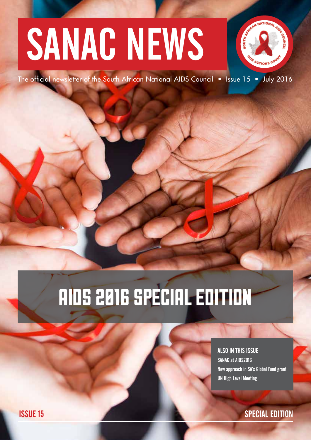# SANAC NEWS



The official newsletter of the South African National AIDS Council • Issue 15 • July 2016

## AIDS 2016 SPECIAL EDITION

ALSO IN THIS ISSUE SANAC at AIDS2016 New approach in SA's Global Fund grant UN High Level Meeting

**ISSUE 15 SPECIAL EDITION**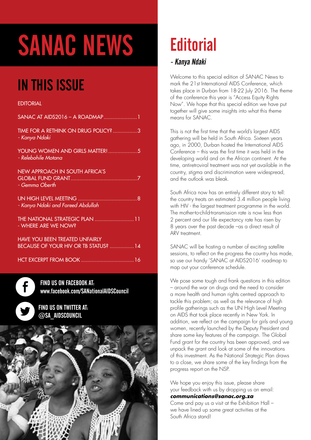# SANAC NEWS

### IN THIS ISSUE

#### **EDITORIAL**

| SANAC AT AIDS2016 - A ROADMAP1                                                       |
|--------------------------------------------------------------------------------------|
| TIME FOR A RETHINK ON DRUG POLICY? 3<br>- Kanya Ndaki                                |
| YOUNG WOMEN AND GIRLS MATTER!  5<br>- Relebohile Motana                              |
| <b>NEW APPROACH IN SOUTH AFRICA'S</b><br>- Gemma Oberth                              |
| - Kanya Ndaki and Fareed Abdullah                                                    |
| THE NATIONAL STRATEGIC PLAN  11<br>- WHERE ARE WE NOW?                               |
| <b>HAVE YOU BEEN TREATED UNFAIRLY</b><br><b>BECAUSE OF YOUR HIV OR TB STATUS?</b> 14 |
|                                                                                      |

FIND US ON FACEBOOK AT: www.facebook.com/SANationalAIDSCouncil

FIND US ON TWITTER AT: @SA\_AIDSCOUNCIL

f



### **Editorial**

#### - Kanya Ndaki

Welcome to this special edition of SANAC News to mark the 21st International AIDS Conference, which takes place in Durban from 18-22 July 2016. The theme of the conference this year is "Access Equity Rights Now". We hope that this special edition we have put together will give some insights into what this theme means for SANAC.

This is not the first time that the world's largest AIDS gathering will be held in South Africa. Sixteen years ago, in 2000, Durban hosted the International AIDS Conference – this was the first time it was held in the developing world and on the African continent. At the time, antiretroviral treatment was not yet available in the country, stigma and discrimination were widespread, and the outlook was bleak.

South Africa now has an entirely different story to tell: the country treats an estimated 3.4 million people living with HIV - the largest treatment programme in the world. The mother-to-child-transmission rate is now less than 2 percent and our life expectancy rate has risen by 8 years over the past decade –as a direct result of ARV treatment.

SANAC will be hosting a number of exciting satellite sessions, to reflect on the progress the country has made, so use our handy 'SANAC at AIDS2016' roadmap to map out your conference schedule.

We pose some tough and frank questions in this edition – around the war on drugs and the need to consider a more health and human rights centred approach to tackle this problem; as well as the relevance of high profile gatherings such as the UN High Level Meeting on AIDS that took place recently in New York. In addition, we reflect on the campaign for girls and young women, recently launched by the Deputy President and share some key features of the campaign. The Global Fund grant for the country has been approved, and we unpack the grant and look at some of the innovations of this investment. As the National Strategic Plan draws to a close, we share some of the key findings from the progress report on the NSP.

We hope you enjoy this issue, please share your feedback with us by dropping us an email: **communications@sanac.org.za** 

Come and pay us a visit at the Exhibition Hall – we have lined up some great activities at the South Africa stand!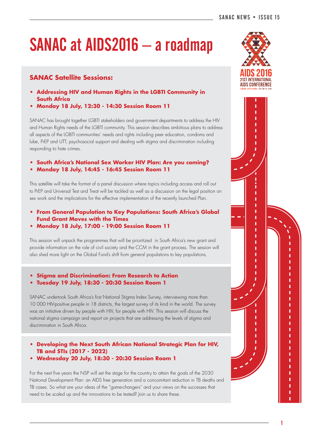### SANAC at AIDS2016 – a roadmap

#### **SANAC Satellite Sessions:**

- **Addressing HIV and Human Rights in the LGBTI Community in South Africa**
- **Monday 18 July, 12:30 14:30 Session Room 11**

SANAC has brought together LGBTI stakeholders and government departments to address the HIV and Human Rights needs of the LGBTI community. This session describes ambitious plans to address all aspects of the LGBTI communities' needs and rights including peer education, condoms and lube, PrEP and UTT, psychosocial support and dealing with stigma and discrimination including responding to hate crimes.

- **South Africa's National Sex Worker HIV Plan: Are you coming?**
- **Monday 18 July, 14:45 16:45 Session Room 11**

This satellite will take the format of a panel discussion where topics including access and roll out to PrEP and Universal Test and Treat will be tackled as well as a discussion on the legal position on sex work and the implications for the effective implementation of the recently launched Plan.

- **From General Population to Key Populations: South Africa's Global Fund Grant Moves with the Times**
- **Monday 18 July, 17:00 19:00 Session Room 11**

This session will unpack the programmes that will be prioritized in South Africa's new grant and provide information on the role of civil society and the CCM in the grant process. The session will also shed more light on the Global Fund's shift from general populations to key populations.

#### **• Stigma and Discrimination: From Research to Action**

**• Tuesday 19 July, 18:30 - 20:30 Session Room 1**

SANAC undertook South Africa's first National Stigma Index Survey, interviewing more than 10 000 HIV-positive people in 18 districts, the largest survey of its kind in the world. The survey was an initiative driven by people with HIV, for people with HIV. This session will discuss the national stigma campaign and report on projects that are addressing the levels of stigma and discrimination in South Africa.

- **Developing the Next South African National Strategic Plan for HIV, TB and STIs (2017 - 2022)**
- **Wednesday 20 July, 18:30 20:30 Session Room 1**

For the next five years the NSP will set the stage for the country to attain the goals of the 2030 National Development Plan: an AIDS free generation and a concomitant reduction in TB deaths and TB cases. So what are your ideas of the "game-changers" and your views on the successes that need to be scaled up and the innovations to be tested? Join us to share these.



ī ī ī ī ī

ï Ï

r ï ï ï ï ï Ï ï ï r r ī ï ï ï r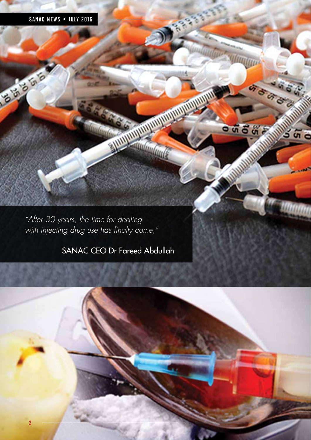#### SANAC NEWS • JULY 2016

**CANADA** 

"After 30 years, the time for dealing with injecting drug use has finally come,"

#### SANAC CEO Dr Fareed Abdullah

Munitor



**Malupage 1999** 

llm

 $-5575$ 

G & G

ລິຫິດ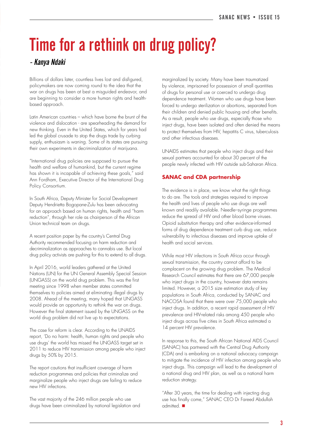### Time for a rethink on drug policy?

#### - Kanya Ndaki

Billions of dollars later, countless lives lost and disfigured, policymakers are now coming round to the idea that the war on drugs has been at best a misguided endeavor, and are beginning to consider a more human rights and healthbased approach.

Latin American countries – which have borne the brunt of the violence and dislocation - are spearheading the demand for new thinking. Even in the United States, which for years had led the global crusade to stop the drugs trade by curbing supply, enthusiasm is waning. Some of its states are pursuing their own experiments in decriminalization of marijuana.

"International drug policies are supposed to pursue the health and welfare of humankind, but the current regime has shown it is incapable of achieving these goals," said Ann Fordham, Executive Director of the International Drug Policy Consortium.

In South Africa, Deputy Minister for Social Development Deputy Hendrietta Bogopane-Zulu has been advocating for an approach based on human rights, health and "harm reduction", through her role as chairperson of the African Union technical team on drugs.

A recent position paper by the country's Central Drug Authority recommended focusing on harm reduction and decriminalization as approaches to cannabis use. But local drug policy activists are pushing for this to extend to all drugs.

In April 2016, world leaders gathered at the United Nations (UN) for the UN General Assembly Special Session (UNGASS) on the world drug problem. This was the first meeting since 1998 when member states committed themselves to policies aimed at eliminating illegal drugs by 2008. Ahead of the meeting, many hoped that UNGASS would provide an opportunity to rethink the war on drugs. However the final statement issued by the UNGASS on the world drug problem did not live up to expectations.

The case for reform is clear. According to the UNAIDS report, 'Do no harm: health, human rights and people who use drugs' the world has missed the UNGASS target set in 2011 to reduce HIV transmission among people who inject drugs by 50% by 2015.

The report cautions that insufficient coverage of harm reduction programmes and policies that criminalize and marginalize people who inject drugs are failing to reduce new HIV infections.

The vast majority of the 246 million people who use drugs have been criminalized by national legislation and marginalized by society. Many have been traumatized by violence, imprisoned for possession of small quantities of drugs for personal use or coerced to undergo drug dependence treatment. Women who use drugs have been forced to undergo sterilization or abortions, separated from their children and denied public housing and other benefits. As a result, people who use drugs, especially those who inject drugs, have been isolated and often denied the means to protect themselves from HIV, hepatitis C virus, tuberculosis and other infectious diseases.

UNAIDS estimates that people who inject drugs and their sexual partners accounted for about 30 percent of the people newly infected with HIV outside sub-Saharan Africa.

#### **SANAC and CDA partnership**

The evidence is in place, we know what the right things to do are. The tools and strategies required to improve the health and lives of people who use drugs are well known and readily available. Needle–syringe programmes reduce the spread of HIV and other blood borne viruses. Opioid substitution therapy and other evidence-informed forms of drug dependence treatment curb drug use, reduce vulnerability to infectious diseases and improve uptake of health and social services.

While most HIV infections in South Africa occur through sexual transmission, the country cannot afford to be complacent on the growing drug problem. The Medical Research Council estimates that there are 67,000 people who inject drugs in the country, however data remains limited. However, a 2015 size estimation study of key populations in South Africa, conducted by SANAC and NACOSA found that there were over 75,000 people who inject drugs. In addition, a recent rapid assessment of HIV prevalence and HIV-related risks among 450 people who inject drugs across five cities in South Africa estimated a 14 percent HIV prevalence.

In response to this, the South African National AIDS Council (SANAC) has partnered with the Central Drug Authority (CDA) and is embarking on a national advocacy campaign to mitigate the incidence of HIV infection among people who inject drugs. This campaign will lead to the development of a national drug and HIV plan, as well as a national harm reduction strategy.

"After 30 years, the time for dealing with injecting drug use has finally come," SANAC CEO Dr Fareed Abdullah  $admitted.$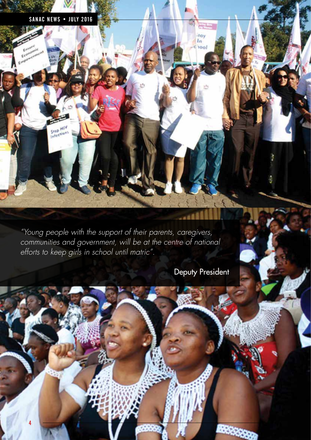#### SANAC NEWS • JULY 2016

Stop HIV

4

"Young people with the support of their parents, caregivers, communities and government, will be at the centre of national efforts to keep girls in school until matric".

Deputy President

fay In  $100$ 

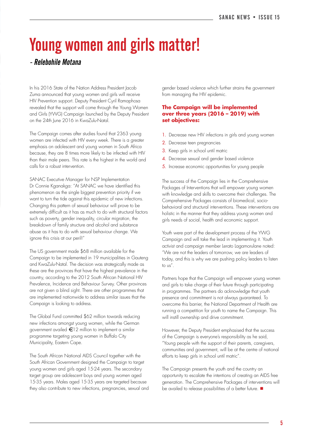### Young women and girls matter!

#### - Relebohile Motana

In his 2016 State of the Nation Address President Jacob Zuma announced that young women and girls will receive HIV Prevention support. Deputy President Cyril Ramaphosa revealed that the support will come through the Young Women and Girls (YWG) Campaign launched by the Deputy President on the 24th June 2016 in KwaZulu-Natal.

The Campaign comes after studies found that 2363 young women are infected with HIV every week. There is a greater emphasis on adolescent and young women in South Africa because, they are 8 times more likely to be infected with HIV than their male peers. This rate is the highest in the world and calls for a robust intervention.

SANAC Executive Manager for NSP Implementation Dr Connie Kganakga: "At SANAC we have identified this phenomenon as the single biggest prevention priority if we want to turn the tide against this epidemic of new infections. Changing this pattern of sexual behaviour will prove to be extremely difficult as it has as much to do with structural factors such as poverty, gender inequality, circular migration, the breakdown of family structure and alcohol and substance abuse as it has to do with sexual behaviour change. We ignore this crisis at our peril!"

The US government made \$68 million available for the Campaign to be implemented in 19 municipalities in Gauteng and KwaZulu-Natal. The decision was strategically made as these are the provinces that have the highest prevalence in the country, according to the 2012 South African National HIV Prevalence, Incidence and Behaviour Survey. Other provinces are not given a blind sight. There are other programmes that are implemented nationwide to address similar issues that the Campaign is looking to address.

The Global Fund committed \$62 million towards reducing new infections amongst young women, while the German government availed  $\epsilon$ 12 million to implement a similar programme targeting young women in Buffalo City Municipality, Eastern Cape.

The South African National AIDS Council together with the South African Government designed the Campaign to target young women and girls aged 15-24 years. The secondary target group are adolescent boys and young women aged 15-35 years. Males aged 15-35 years are targeted because they also contribute to new infections, pregnancies, sexual and gender based violence which further strains the government from managing the HIV epidemic.

#### **The Campaign will be implemented over three years (2016 – 2019) with set objectives:**

- 1. Decrease new HIV infections in girls and young women
- 2. Decrease teen pregnancies
- 3. Keep girls in school until matric
- 4. Decrease sexual and gender based violence
- 5. Increase economic opportunities for young people

The success of the Campaign lies in the Comprehensive Packages of Interventions that will empower young women with knowledge and skills to overcome their challenges. The Comprehensive Packages consists of biomedical, sociobehavioral and structural interventions. These interventions are holistic in the manner that they address young women and girls needs of social, health and economic support.

Youth were part of the development process of the YWG Campaign and will take the lead in implementing it. Youth activist and campaign member Lerato Lagamorulane noted: "We are not the leaders of tomorrow, we are leaders of today, and this is why we are pushing policy leaders to listen to us".

Partners hope that the Campaign will empower young women and girls to take charge of their future through participating in programmes. The partners do acknowledge that youth presence and commitment is not always guaranteed. To overcome this barrier, the National Department of Health are running a competition for youth to name the Campaign. This will instill ownership and drive commitment.

However, the Deputy President emphasised that the success of the Campaign is everyone's responsibility as he said, "Young people with the support of their parents, caregivers, communities and government, will be at the centre of national efforts to keep girls in school until matric".

The Campaign presents the youth and the country an opportunity to escalate the intentions of creating an AIDS free generation. The Comprehensive Packages of interventions will be availed to release possibilities of a better future.  $\blacksquare$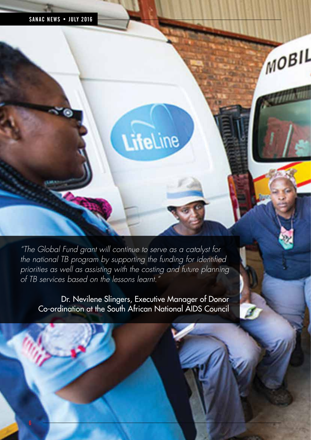"The Global Fund grant will continue to serve as a catalyst for the national TB program by supporting the funding for identified priorities as well as assisting with the costing and future planning of TB services based on the lessons learnt."

LifeLine

MOBIL

Dr. Nevilene Slingers, Executive Manager of Donor Co-ordination at the South African National AIDS Council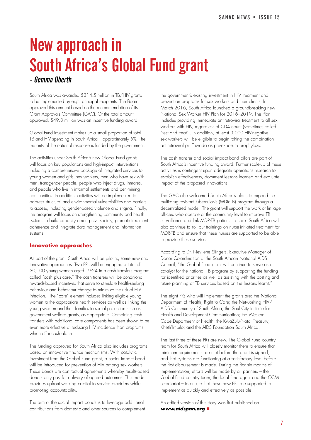### New approach in South Africa's Global Fund grant

- Gemma Oberth

South Africa was awarded \$314.5 million in TB/HIV grants to be implemented by eight principal recipients. The Board approved this amount based on the recommendation of its Grant Approvals Committee (GAC). Of the total amount approved, \$49.8 million was an incentive funding award.

Global Fund investment makes up a small proportion of total TB and HIV spending in South Africa – approximately 5%. The majority of the national response is funded by the government.

The activities under South Africa's new Global Fund grants will focus on key populations and high-impact interventions, including a comprehensive package of integrated services to young women and girls, sex workers, men who have sex with men, transgender people, people who inject drugs, inmates, and people who live in informal settlements and peri-mining communities. In addition, activities will be implemented to address structural and environmental vulnerabilities and barriers to access, including gender-based violence and stigma. Finally, the program will focus on strengthening community and health systems to build capacity among civil society, promote treatment adherence and integrate data management and information systems.

#### **Innovative approaches**

As part of the grant, South Africa will be piloting some new and innovative approaches. Two PRs will be engaging a total of 30,000 young women aged 19-24 in a cash transfers program called "cash plus care." The cash transfers will be conditional rewards-based incentives that serve to stimulate health-seeking behaviour and behaviour change to minimize the risk of HIV infection. The "care" element includes linking eligible young women to the appropriate health services as well as linking the young women and their families to social protection such as government welfare grants, as appropriate. Combining cash transfers with additional care components has been shown to be even more effective at reducing HIV incidence than programs which offer cash alone.

The funding approved for South Africa also includes programs based on innovative finance mechanisms. With catalytic investment from the Global Fund grant, a social impact bond will be introduced for prevention of HIV among sex workers These bonds are contractual agreements whereby results-based donors only pay for delivery of agreed outcomes. This model provides upfront working capital to service providers while promoting accountability.

The aim of the social impact bonds is to leverage additional contributions from domestic and other sources to complement

the government's existing investment in HIV treatment and prevention programs for sex workers and their clients. In March 2016, South Africa launched a groundbreaking new National Sex Worker HIV Plan for 2016–2019. The Plan includes providing immediate antiretroviral treatment to all sex workers with HIV, regardless of CD4 count (sometimes called "test and treat"). In addition, at least 3,000 HIV-negative sex workers will be eligible to begin taking the combination antiretroviral pill Truvada as pre-exposure prophylaxis.

The cash transfer and social impact bond pilots are part of South Africa's incentive funding award. Further scale-up of these activities is contingent upon adequate operations research to establish effectiveness, document lessons learned and evaluate impact of the proposed innovations.

The GAC also welcomed South Africa's plans to expand the multi-drug-resistant tuberculosis (MDR-TB) program through a decentralized model. The grant will support the work of linkage officers who operate at the community level to improve TB surveillance and link MDR-TB patients to care. South Africa will also continue to roll out trainings on nurse-initiated treatment for MDR-TB and ensure that these nurses are supported to be able to provide these services.

According to Dr. Nevilene Slingers, Executive Manager of Donor Co-ordination at the South African National AIDS Council, "the Global Fund grant will continue to serve as a catalyst for the national TB program by supporting the funding for identified priorities as well as assisting with the costing and future planning of TB services based on the lessons learnt."

The eight PRs who will implement the grants are: the National Department of Health; Right to Care; the Networking HIV/ AIDS Community of South Africa; the Soul City Institute for Health and Development Communication; the Western Cape Department of Health; the KwaZulu-Natal Treasury; Kheth'Impilo; and the AIDS Foundation South Africa.

The last three of these PRs are new. The Global Fund country team for South Africa will closely monitor them to ensure that minimum requirements are met before the grant is signed, and that systems are functioning at a satisfactory level before the first disbursement is made. During the first six months of implementation, efforts will be made by all partners – the Global Fund country team, the local fund agent and the CCM secretariat – to ensure that these new PRs are supported to implement as quickly and effectively as possible.

An edited version of this story was first published on **www.aidspan.org** n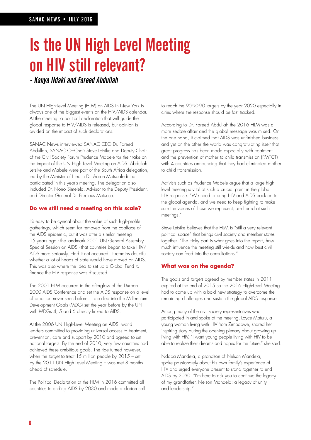### Is the UN High Level Meeting on HIV still relevant?

- Kanya Ndaki and Fareed Abdullah

The UN High-Level Meeting (HLM) on AIDS in New York is always one of the biggest events on the HIV/AIDS calendar. At the meeting, a political declaration that will guide the global response to HIV/AIDS is released, but opinion is divided on the impact of such declarations.

SANAC News interviewed SANAC CEO Dr. Fareed Abdullah, SANAC Co-Chair Steve Letsike and Deputy Chair of the Civil Society Forum Prudence Mabele for their take on the impact of the UN High Level Meeting on AIDS. Abdullah, Letsike and Mabele were part of the South Africa delegation, led by the Minister of Health Dr. Aaron Motsoaledi that participated in this year's meeting. The delegation also included Dr. Nono Simelela, Advisor to the Deputy President, and Director General Dr. Precious Matsoso.

#### **Do we still need a meeting on this scale?**

It's easy to be cynical about the value of such high-profile gatherings, which seem far removed from the coalface of the AIDS epidemic, but it was after a similar meeting 15 years ago - the landmark 2001 UN General Assembly Special Session on AIDS - that countries began to take HIV/ AIDS more seriously. Had it not occurred, it remains doubtful whether a lot of heads of state would have moved on AIDS. This was also where the idea to set up a Global Fund to finance the HIV response was discussed.

The 2001 HLM occurred in the afterglow of the Durban 2000 AIDS Conference and set the AIDS response on a level of ambition never seen before. It also fed into the Millennium Development Goals (MDG) set the year before by the UN with MDGs 4, 5 and 6 directly linked to AIDS.

At the 2006 UN High-Level Meeting on AIDS, world leaders committed to providing universal access to treatment, prevention, care and support by 2010 and agreed to set national targets. By the end of 2010, very few countries had achieved these ambitious goals. The tide turned however, when the target to treat 15 million people by 2015 - set by the 2011 UN High Level Meeting – was met 8 months ahead of schedule.

The Political Declaration at the HLM in 2016 committed all countries to ending AIDS by 2030 and made a clarion call

to reach the 90-90-90 targets by the year 2020 especially in cities where the response should be fast tracked.

According to Dr. Fareed Abdullah the 2016 HLM was a more sedate affair and the global message was mixed. On the one hand, it claimed that AIDS was unfinished business and yet on the other the world was congratulating itself that great progress has been made especially with treatment and the prevention of mother to child transmission (PMTCT) with 4 countries announcing that they had eliminated mother to child transmission.

Activists such as Prudence Mabele argue that a large highlevel meeting is vital at such a crucial point in the global HIV response. "We need to bring HIV and AIDS back on to the global agenda, and we need to keep fighting to make sure the voices of those we represent, are heard at such meetings."

Steve Letsike believes that the HLM is "still a very relevant political space" that brings civil society and member states together. "The tricky part is what goes into the report, how much influence the meeting still wields and how best civil society can feed into the consultations."

#### **What was on the agenda?**

The goals and targets agreed by member states in 2011 expired at the end of 2015 so the 2016 High-Level Meeting had to come up with a bold new strategy to overcome the remaining challenges and sustain the global AIDS response.

Among many of the civil society representatives who participated in and spoke at the meeting, Loyce Maturu, a young woman living with HIV from Zimbabwe, shared her inspiring story during the opening plenary about growing up living with HIV. "I want young people living with HIV to be able to realize their dreams and hopes for the future," she said.

Ndaba Mandela, a grandson of Nelson Mandela, spoke passionately about his own family's experience of HIV and urged everyone present to stand together to end AIDS by 2030. "I'm here to ask you to continue the legacy of my grandfather, Nelson Mandela: a legacy of unity and leadership."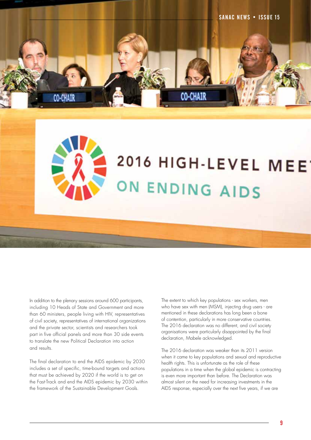

#### In addition to the plenary sessions around 600 participants, including 10 Heads of State and Government and more than 60 ministers, people living with HIV, representatives of civil society, representatives of international organizations and the private sector, scientists and researchers took part in five official panels and more than 30 side events to translate the new Political Declaration into action and results.

The final declaration to end the AIDS epidemic by 2030 includes a set of specific, time-bound targets and actions that must be achieved by 2020 if the world is to get on the Fast-Track and end the AIDS epidemic by 2030 within the framework of the Sustainable Development Goals.

The extent to which key populations - sex workers, men who have sex with men (MSM), injecting drug users - are mentioned in these declarations has long been a bone of contention, particularly in more conservative countries. The 2016 declaration was no different, and civil society organisations were particularly disappointed by the final declaration, Mabele acknowledged.

2016 HIGH-LEVEL MEE

ON ENDING AIDS

The 2016 declaration was weaker than its 2011 version when it came to key populations and sexual and reproductive health rights. This is unfortunate as the role of these populations in a time when the global epidemic is contracting is even more important than before. The Declaration was almost silent on the need for increasing investments in the AIDS response, especially over the next five years, if we are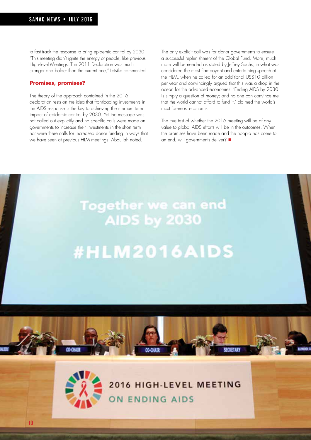to fast track the response to bring epidemic control by 2030. "This meeting didn't ignite the energy of people, like previous High-Level Meetings. The 2011 Declaration was much stronger and bolder than the current one," Letsike commented.

#### **Promises, promises?**

10

The theory of the approach contained in the 2016 declaration rests on the idea that frontloading investments in the AIDS response is the key to achieving the medium term impact of epidemic control by 2030. Yet the message was not called out explicitly and no specific calls were made on governments to increase their investments in the short term nor were there calls for increased donor funding in ways that we have seen at previous HLM meetings, Abdullah noted.

The only explicit call was for donor governments to ensure a successful replenishment of the Global Fund. More, much more will be needed as stated by Jeffrey Sachs, in what was considered the most flamboyant and entertaining speech at the HLM, when he called for an additional US\$10 billion per year and convincingly argued that this was a drop in the ocean for the advanced economies. 'Ending AIDS by 2030 is simply a question of money; and no one can convince me that the world cannot afford to fund it,' claimed the world's most foremost economist.

The true test of whether the 2016 meeting will be of any value to global AIDS efforts will be in the outcomes. When the promises have been made and the hoopla has come to an end, will governments deliver?



2016 HIGH-LEVEL MEETING ON ENDING AIDS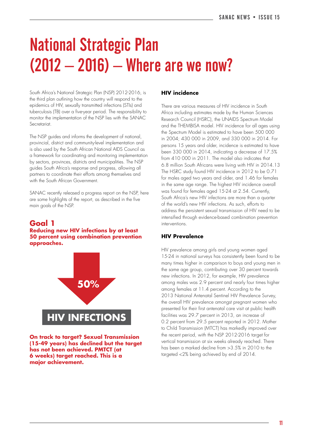### National Strategic Plan  $(2012 - 2016)$  – Where are we now?

South Africa's National Strategic Plan (NSP) 2012-2016, is the third plan outlining how the country will respond to the epidemics of HIV, sexually transmitted infections (STIs) and tuberculosis (TB) over a five-year period. The responsibility to monitor the implementation of the NSP lies with the SANAC Secretariat.

The NSP guides and informs the development of national, provincial, district and community-level implementation and is also used by the South African National AIDS Council as a framework for coordinating and monitoring implementation by sectors, provinces, districts and municipalities. The NSP guides South Africa's response and progress, allowing all partners to coordinate their efforts among themselves and with the South African Government.

SANAC recently released a progress report on the NSP, here are some highlights of the report, as described in the five main goals of the NSP.

#### **Goal 1**

#### **Reducing new HIV infections by at least 50 percent using combination prevention approaches.**



**On track to target? Sexual Transmission (15-49 years) has declined but the target has not been achieved. PMTCT (at 6 weeks) target reached. This is a major achievement.**

#### **HIV incidence**

There are various measures of HIV incidence in South Africa including estimates made by the Human Sciences Research Council (HSRC), the UNAIDS Spectrum Model and the THEMBISA model. HIV incidence for all ages using the Spectrum Model is estimated to have been 500 000 in 2004; 430 000 in 2009, and 330 000 in 2014. For persons 15 years and older, incidence is estimated to have been 330 000 in 2014, indicating a decrease of 17.5% from 410 000 in 2011. The model also indicates that 6.8 million South Africans were living with HIV in 2014.13 The HSRC study found HIV incidence in 2012 to be 0.71 for males aged two years and older, and 1.46 for females in the same age range. The highest HIV incidence overall was found for females aged 15-24 at 2.54. Currently, South Africa's new HIV infections are more than a quarter of the world's new HIV infections. As such, efforts to address the persistent sexual transmission of HIV need to be intensified through evidence-based combination prevention interventions.

#### **HIV Prevalence**

HIV prevalence among girls and young women aged 15-24 in national surveys has consistently been found to be many times higher in comparison to boys and young men in the same age group, contributing over 30 percent towards new infections. In 2012, for example, HIV prevalence among males was 2.9 percent and nearly four times higher among females at 11.4 percent. According to the 2013 National Antenatal Sentinel HIV Prevalence Survey, the overall HIV prevalence amongst pregnant women who presented for their first antenatal care visit at public health facilities was 29.7 percent in 2013, an increase of 0.2 percent from 29.5 percent reported in 2012. Mother to Child Transmission (MTCT) has markedly improved over the recent period, with the NSP 2012-2016 target for vertical transmission at six weeks already reached. There has been a marked decline from >3.5% in 2010 to the targeted <2% being achieved by end of 2014.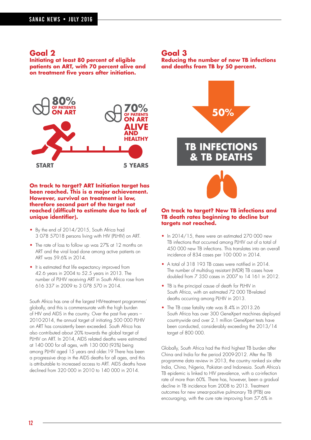#### **Goal 2**

**Initiating at least 80 percent of eligible patients on ART, with 70 percent alive and on treatment five years after initiation.**



#### **On track to target? ART Initiation target has been reached. This is a major achievement. However, survival on treatment is low, therefore second part of the target not reached (difficult to estimate due to lack of unique identifier).**

- By the end of 2014/2015, South Africa had 3 078 57018 persons living with HIV (PLHIV) on ART.
- The rate of loss to follow up was 27% at 12 months on ART and the viral load done among active patients on ART was 59.6% in 2014.
- It is estimated that life expectancy improved from 42.6 years in 2004 to 52.5 years in 2013. The number of PLHIV receiving ART in South Africa rose from 616 337 in 2009 to 3 078 570 in 2014.

South Africa has one of the largest HIV-treatment programmes' globally, and this is commensurate with the high burden of HIV and AIDS in the country. Over the past five years – 2010-2014, the annual target of initiating 500 000 PLHIV on ART has consistently been exceeded. South Africa has also contributed about 20% towards the global target of PLHIV on ART. In 2014, AIDS related deaths were estimated at 140 000 for all ages, with 130 000 (93%) being among PLHIV aged 15 years and older.19 There has been a progressive drop in the AIDS deaths for all ages, and this is attributable to increased access to ART. AIDS deaths have declined from 320 000 in 2010 to 140 000 in 2014.

#### **Goal 3**

**Reducing the number of new TB infections and deaths from TB by 50 percent.**



#### **On track to target? New TB infections and TB death rates beginning to decline but targets not reached.**

- In 2014/15, there were an estimated 270 000 new TB infections that occurred among PLHIV out of a total of 450 000 new TB infections. This translates into an overall incidence of 834 cases per 100 000 in 2014.
- A total of 318 193 TB cases were notified in 2014. The number of multidrug resistant (MDR) TB cases have doubled from 7 350 cases in 2007 to 14 161 in 2012.
- TB is the principal cause of death for PLHIV in South Africa, with an estimated 72 000 TB-related deaths occurring among PLHIV in 2013.
- The TB case fatality rate was 8.4% in 2013.26 South Africa has over 300 GeneXpert machines deployed countrywide and over 2.1 million GeneXpert tests have been conducted, considerably exceeding the 2013/14 target of 800 000.

Globally, South Africa had the third highest TB burden after China and India for the period 2009-2012. After the TB programme data review in 2013, the country ranked six after India, China, Nigeria, Pakistan and Indonesia. South Africa's TB epidemic is linked to HIV prevalence, with a co-infection rate of more than 60%. There has, however, been a gradual decline in TB incidence from 2008 to 2013. Treatment outcomes for new smear-positive pulmonary TB (PTB) are encouraging, with the cure rate improving from 57.6% in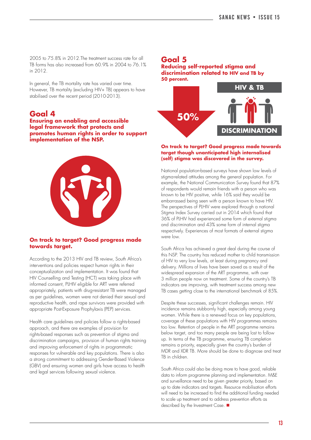2005 to 75.8% in 2012.The treatment success rate for all TB forms has also increased from 60.9% in 2004 to 76.1% in 2012.

In general, the TB mortality rate has varied over time. However, TB mortality (excluding HIV+ TB) appears to have stabilised over the recent period (2010-2013).

#### **Goal 4**

**Ensuring an enabling and accessible legal framework that protects and promotes human rights in order to support implementation of the NSP.**



#### **On track to target? Good progress made towards target.**

According to the 2013 HIV and TB review, South Africa's interventions and policies respect human rights in their conceptualization and implementation. It was found that HIV Counselling and Testing (HCT) was taking place with informed consent, PLHIV eligible for ART were referred appropriately, patients with drug-resistant TB were managed as per guidelines, women were not denied their sexual and reproductive health, and rape survivors were provided with appropriate Post-Exposure Prophylaxis (PEP) services.

Health care guidelines and policies follow a rights-based approach, and there are examples of provision for rights-based responses such as prevention of stigma and discrimination campaigns, provision of human rights training and improving enforcement of rights in programmatic responses for vulnerable and key populations. There is also a strong commitment to addressing Gender-Based Violence (GBV) and ensuring women and girls have access to health and legal services following sexual violence.

#### **Goal 5 Reducing self-reported stigma and discrimination related to HIV and TB by 50 percent.**



#### **On track to target? Good progress made towards target though unanticipated high internalised (self) stigma was discovered in the survey.**

National population-based surveys have shown low levels of stigma-related attitudes among the general population. For example, the National Communication Survey found that 87% of respondents would remain friends with a person who was known to be HIV positive, while 16% said they would be embarrassed being seen with a person known to have HIV. The perspectives of PLHIV were explored through a national Stigma Index Survey carried out in 2014 which found that 36% of PLHIV had experienced some form of external stigma and discrimination and 43% some form of internal stigma respectively. Experiences of most formats of external stigma were low.

South Africa has achieved a great deal during the course of this NSP. The country has reduced mother to child transmission of HIV to very low levels, at least during pregnancy and delivery. Millions of lives have been saved as a result of the widespread expansion of the ART programme, with over 3 million people now on treatment. Some of the country's TB indicators are improving, with treatment success among new TB cases getting close to the international benchmark of 85%.

Despite these successes, significant challenges remain. HIV incidence remains stubbornly high, especially among young women. While there is a renewed focus on key populations, coverage of these populations with HIV programmes remains too low. Retention of people in the ART programme remains below target, and too many people are being lost to follow up. In terms of the TB programme, ensuring TB completion remains a priority, especially given the country's burden of MDR and XDR TB. More should be done to diagnose and treat TB in children.

South Africa could also be doing more to have good, reliable data to inform programme planning and implementation. M&E and surveillance need to be given greater priority, based on up to date indicators and targets. Resource mobilisation efforts will need to be increased to find the additional funding needed to scale up treatment and to address prevention efforts as described by the Investment Case.  $\blacksquare$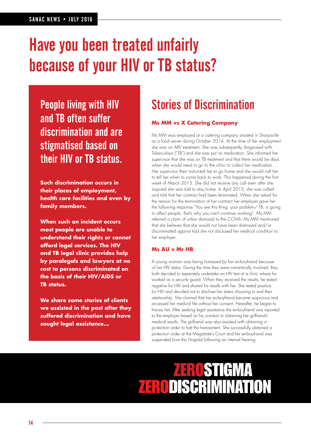### Have you been treated unfairly because of your HIV or TB status?

People living with HIV and TB often suffer discrimination and are stigmatised based on their HIV or TB status.

**Such discrimination occurs in their places of employment, health care facilities and even by family members.**

**When such an incident occurs most people are unable to understand their rights or cannot afford legal services. The HIV and TB legal clinic provides help by paralegals and lawyers at no cost to persons discriminated on the basis of their HIV/AIDS or TB status.**

**We share some stories of clients we assisted in the past after they suffered discrimination and have sought legal assistance...**

### Stories of Discrimination

#### **Ms MM vs X Catering Company**

Ms MM was employed at a catering company situated in Sharpsville as a food server during October 2014. At the time of her employment she was on ARV treatment. She was subsequently diagnosed with Tuberculosis ("TB") and she was put on medication. She informed her supervisor that she was on TB treatment and that there would be days when she would need to go to the clinic to collect her medication. Her supervisor then instructed her to go home and she would call her to tell her when to come back to work. This happened during the first week of March 2015. She did not receive any call even after she inquired she was told to stay home. In April 2015, she was called and told that her contract had been terminated. When she asked for the reason for the termination of her contract her employer gave her the following response "You see this thing, your problem/ TB, is going to affect people, that's why you can't continue working". Ms MM referred a claim of unfair dismissal to the CCMA. Ms MM mentioned that she believes that she would not have been dismissed and/or discriminated against had she not disclosed her medical condition to her employer.

#### **Ms AU v Mr HB**

A young woman was being harassed by her ex-boyfriend because of her HIV status. During the time they were romantically involved, they both decided to separately undertake an HIV test at a clinic where he worked as a security guard. When they received the results, he tested negative for HIV and shared his results with her. She tested positive for HIV and decided not to disclose her status choosing to end their relationship. She claimed that her ex-boyfriend became suspicious and accessed her medical file without her consent. Hereafter, he began to harass her. After seeking legal assistance the ex-boyfriend was reported to the employer based on his conduct in obtaining her girlfriend's medical results. The girlfriend was also assisted with obtaining a protection order to halt the harassment. She successfully obtained a protection order at the Magistrate's Court and her ex-boyfriend was suspended from the Hospital following an internal hearing.

### RISTIAMO **ZERODISCRIMINATION**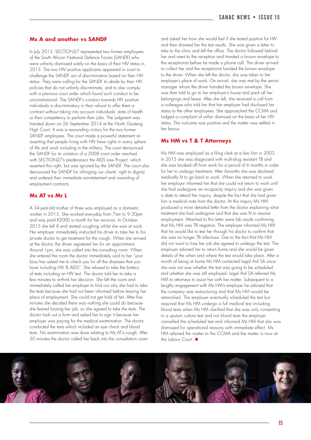#### **Ms A and another vs SANDF**

In July 2013, SECTION27 represented two former employees of the South African National Defence Forces (SANDF) who were unfairly dismissed solely on the basis of their HIV status in 2013. The two HIV positive applicants appeared in court to challenge the SANDF act of discrimination based on their HIV status. They were calling for the SANDF to abide by their HIV policies that do not unfairly discriminate, and to also comply with a previous court order which found such conduct to be unconstitutional. The SANDF's conduct towards HIV positive individuals is discriminatory in their refusal to offer them a contract without taking into account individuals' state of health or their competency to perform their jobs. The judgment was handed down on 26 September 2014 at the North Gauteng High Court. It was a resounding victory for the two former SANDF employees. The court made a powerful statement reasserting that people living with HIV have rights in every sphere of life and work including in the military. The court denounced the SANDF for its violation of a 2008 court order reached with SECTION27's predecessor the AIDS Law Project, which asserted this right, but was ignored by the SANDF. The court also denounced the SANDF for infringing our clients' right to dignity and ordered their immediate reinstatement and awarding of employment contracts.

#### **Ms AT vs Mr L**

A 34-year-old mother of three was employed as a domestic worker in 2015. She worked everyday from 7am to 9:30pm and was paid R2000 a month for her services. In October 2015 she fell ill and started coughing whilst she was at work. Her employer immediately instructed his driver to take her to his private doctor to get treatment for the cough. When she arrived at the doctor, the driver registered her for an appointment. Around 1pm, she was called into the consulting room. When she entered the room the doctor immediately said to her "your boss has asked me to check you for all the diseases that you have including HIV & AIDS". She refused to take the battery of tests including an HIV test. The doctor told her to take a few minutes to re-think her decision. She left the room and immediately called her employer to find out why she had to take the tests because she had not been informed before leaving her place of employment. She could not get hold of her. After five minutes she decided there was nothing she could do because she feared loosing her job, so she agreed to take the tests. The doctor took out a form and asked her to sign it because her employer was paying for the medical examination. The doctor conducted the tests which included an eye check and blood tests. No examination was done relating to Ms AT's cough. After 30 minutes the doctor called her back into the consultation room and asked her how she would feel if she tested positive for HIV and then showed her the test results. She was given a letter to take to the clinic and left the office. The doctor followed behind her and went to the reception and handed a brown envelope to the receptionist before he made a phone call. The driver arrived to collect her and the receptionist handed the brown envelope to the driver. When she left the doctor, she was taken to her employer's place of work. On arrival, she was met by the senior manager whom the driver handed the brown envelope. She was then told to go to her employer's house and pack all her belongings and leave. After she left, she received a call from a colleague who told her that her employer had disclosed her status to the other employees. She approached the CCMA and lodged a complaint of unfair dismissal on the basis of her HIV status. The outcome was positive and the matter was settled in her favour.

#### **Ms HM vs T & T Attorneys**

Ms HM was employed as a filing clerk at a law firm in 2003. In 2015 she was diagnosed with multi-drug resistant TB and she was booked off from work for a period of 6 months in order for her to undergo treatment. After 6months she was declared medically fit to go back to work. When she returned to work her employer informed her that she could not return to work until she had undergone an incapacity inquiry and she was given a date to attend the inquiry, despite the fact that she had given him a medical note from the doctor. At this inquiry Ms HM produced a more detailed letter from the doctor explaining what treatment she had undergone and that she was fit to resume employment. Attached to this letter were lab results confirming that Ms HM was TB negative. The employer informed Ms HM that he would like to test her through his doctor to confirm that she was no longer TB infectious. Due to the fact that Ms HM did not want to lose her job she agreed to undergo the test. The employer advised her to return home and she would be given details of the when and where the test would take place. After a month of being at home Ms HM contacted Legal Aid SA since she was not sure whether the test was going to be scheduled and whether she was still employed. Legal Aid SA referred Ms HM to attorneys to assist her with her matter. Subsequent to a lengthy engagement with Ms HM's employer he advised that the company was restructuring and that Ms HM would be retrenched. The employer eventually scheduled the test but required that Ms HM undergo a full medical test including blood tests when Ms HM clarified that she was only consenting to a sputum culture test and not blood tests the employer cancelled the scheduled test and informed Ms HM that she was dismissed for operational reasons with immediate effect. Ms HM referred the matter to the CCMA and the matter is now at the Labour Court.  $\blacksquare$ 

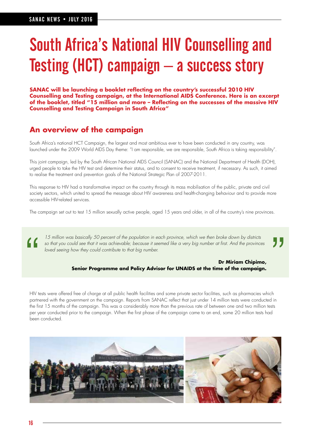### South Africa's National HIV Counselling and Testing (HCT) campaign – a success story

**SANAC will be launching a booklet reflecting on the country's successful 2010 HIV Counselling and Testing campaign, at the International AIDS Conference. Here is an excerpt of the booklet, titled "15 million and more – Reflecting on the successes of the massive HIV Counselling and Testing Campaign in South Africa"**

#### **An overview of the campaign**

South Africa's national HCT Campaign, the largest and most ambitious ever to have been conducted in any country, was launched under the 2009 World AIDS Day theme: "I am responsible, we are responsible, South Africa is taking responsibility".

This joint campaign, led by the South African National AIDS Council (SANAC) and the National Department of Health (DOH), urged people to take the HIV test and determine their status, and to consent to receive treatment, if necessary. As such, it aimed to realise the treatment and prevention goals of the National Strategic Plan of 2007-2011.

This response to HIV had a transformative impact on the country through its mass mobilisation of the public, private and civil society sectors, which united to spread the message about HIV awareness and health-changing behaviour and to provide more accessible HIV-related services.

The campaign set out to test 15 million sexually active people, aged 15 years and older, in all of the country's nine provinces.

<sup>15</sup> million was basically 50 percent of the population in each province, which we then broke down by districts<br>so that you could see that it was achievable; because it seemed like a very big number at first. And the provi so that you could see that it was achievable; because it seemed like a very big number at first. And the provinces loved seeing how they could contribute to that big number.

#### **Dr Miriam Chipimo, Senior Programme and Policy Advisor for UNAIDS at the time of the campaign.**

HIV tests were offered free of charge at all public health facilities and some private sector facilities, such as pharmacies which partnered with the government on the campaign. Reports from SANAC reflect that just under 14 million tests were conducted in the first 15 months of the campaign. This was a considerably more than the previous rate of between one and two million tests per year conducted prior to the campaign. When the first phase of the campaign came to an end, some 20 million tests had been conducted.

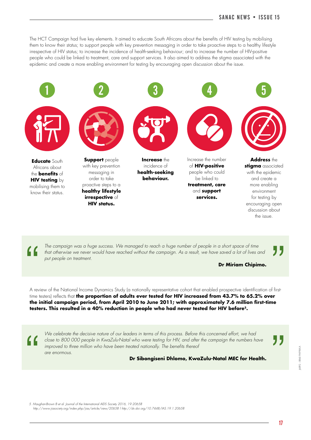The HCT Campaign had five key elements. It aimed to educate South Africans about the benefits of HIV testing by mobilising them to know their status; to support people with key prevention messaging in order to take proactive steps to a healthy lifestyle irrespective of HIV status; to increase the incidence of health-seeking behaviour; and to increase the number of HIV-positive people who could be linked to treatment, care and support services. It also aimed to address the stigma associated with the epidemic and create a more enabling environment for testing by encouraging open discussion about the issue.



The campaign was a huge success. We managed to reach a huge number of people in a short space of time<br>
that otherwise we never would have reached without the campaign. As a result, we have saved a lot of lives and<br> **Dr Mir** that otherwise we never would have reached without the campaign. As a result, we have saved a lot of lives and put people on treatment.

**Dr Miriam Chipimo.**

A review of the National Income Dynamics Study (a nationally representative cohort that enabled prospective identification of firsttime testers) reflects that **the proportion of adults ever tested for HIV increased from 43.7% to 65.2% over the initial campaign period, from April 2010 to June 2011; with approximately 7.6 million first-time testers. This resulted in a 40% reduction in people who had never tested for HIV before5.**

We celebrate the decisive nature of our leaders in terms of this process. Before this concerned effort, we had<br>close to 800 000 people in KwaZulu-Natal who were testing for HIV, and after the campaign the numbers have<br>impr We celebrate the decisive nature of our leaders in terms of this process. Before this concerned effort, we had close to 800 000 people in KwaZulu-Natal who were testing for HIV, and after the campaign the numbers have improved to three million who have been treated nationally. The benefits thereof are enormous.

**Dr Sibongiseni Dhlomo, KwaZulu-Natal MEC for Health.**

6892 - 0860 PAPRIKA J6892 - 0860 PAPRIKA

5. Maughan-Brown B et al. Journal of the International AIDS Society 2016, 19:20658 http://www.jiasociety.org/index.php/jias/article/view/20658 | http://dx.doi.org/10.7448/IAS.19.1.20658